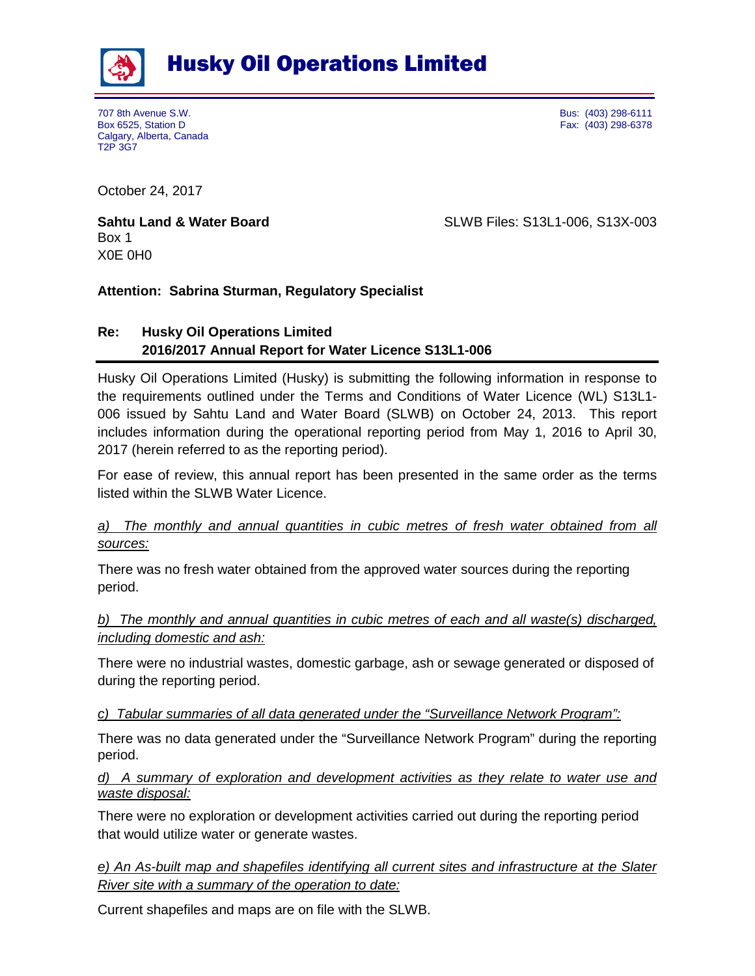

707 8th Avenue S.W. Bus: (403) 298-6111 Calgary, Alberta, Canada T2P 3G7

Fax: (403) 298-6378

October 24, 2017

Box 1 X0E 0H0

**Sahtu Land & Water Board** SLWB Files: S13L1-006, S13X-003

## **Attention: Sabrina Sturman, Regulatory Specialist**

# **Re: Husky Oil Operations Limited 2016/2017 Annual Report for Water Licence S13L1-006**

Husky Oil Operations Limited (Husky) is submitting the following information in response to the requirements outlined under the Terms and Conditions of Water Licence (WL) S13L1- 006 issued by Sahtu Land and Water Board (SLWB) on October 24, 2013. This report includes information during the operational reporting period from May 1, 2016 to April 30, 2017 (herein referred to as the reporting period).

For ease of review, this annual report has been presented in the same order as the terms listed within the SLWB Water Licence.

## *a) The monthly and annual quantities in cubic metres of fresh water obtained from all sources:*

There was no fresh water obtained from the approved water sources during the reporting period.

## *b) The monthly and annual quantities in cubic metres of each and all waste(s) discharged, including domestic and ash:*

There were no industrial wastes, domestic garbage, ash or sewage generated or disposed of during the reporting period.

### *c) Tabular summaries of all data generated under the "Surveillance Network Program":*

There was no data generated under the "Surveillance Network Program" during the reporting period.

## *d) A summary of exploration and development activities as they relate to water use and waste disposal:*

There were no exploration or development activities carried out during the reporting period that would utilize water or generate wastes.

*e) An As-built map and shapefiles identifying all current sites and infrastructure at the Slater River site with a summary of the operation to date:*

Current shapefiles and maps are on file with the SLWB.